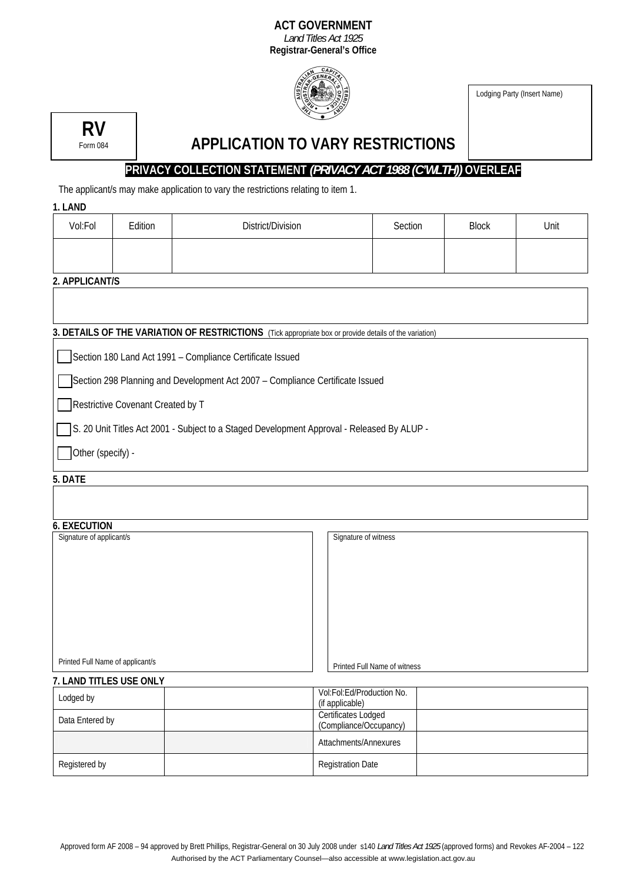#### **ACT GOVERNMENT**  *Land Titles Act 1925*

**Registrar-General's Office**



Lodging Party (Insert Name)



# **APPLICATION TO VARY RESTRICTIONS**

## **PRIVACY COLLECTION STATEMENT** *(PRIVACY ACT 1988 (C'WLTH))* **OVERLEAF**

The applicant/s may make application to vary the restrictions relating to item 1.

| 1. LAND                                                                                                |                |                   |         |              |      |  |  |  |
|--------------------------------------------------------------------------------------------------------|----------------|-------------------|---------|--------------|------|--|--|--|
| Vol:Fol                                                                                                | Edition        | District/Division | Section | <b>Block</b> | Unit |  |  |  |
|                                                                                                        |                |                   |         |              |      |  |  |  |
|                                                                                                        |                |                   |         |              |      |  |  |  |
|                                                                                                        | 2. APPLICANT/S |                   |         |              |      |  |  |  |
|                                                                                                        |                |                   |         |              |      |  |  |  |
|                                                                                                        |                |                   |         |              |      |  |  |  |
| 3. DETAILS OF THE VARIATION OF RESTRICTIONS (Tick appropriate box or provide details of the variation) |                |                   |         |              |      |  |  |  |
| Section 180 Land Act 1991 - Compliance Certificate Issued                                              |                |                   |         |              |      |  |  |  |
| Section 298 Planning and Development Act 2007 - Compliance Certificate Issued                          |                |                   |         |              |      |  |  |  |
| Restrictive Covenant Created by T                                                                      |                |                   |         |              |      |  |  |  |
| S. 20 Unit Titles Act 2001 - Subject to a Staged Development Approval - Released By ALUP -             |                |                   |         |              |      |  |  |  |
| Other (specify) -                                                                                      |                |                   |         |              |      |  |  |  |

#### **5. DATE**

| <b>6. EXECUTION</b>              |                              |  |  |  |  |
|----------------------------------|------------------------------|--|--|--|--|
| Signature of applicant/s         | Signature of witness         |  |  |  |  |
|                                  |                              |  |  |  |  |
|                                  |                              |  |  |  |  |
|                                  |                              |  |  |  |  |
|                                  |                              |  |  |  |  |
|                                  |                              |  |  |  |  |
|                                  |                              |  |  |  |  |
|                                  |                              |  |  |  |  |
|                                  |                              |  |  |  |  |
|                                  |                              |  |  |  |  |
|                                  |                              |  |  |  |  |
| Printed Full Name of applicant/s | Printed Full Name of witness |  |  |  |  |

| Lodged by       | Vol:Fol:Ed/Production No.<br>(if applicable)         |  |
|-----------------|------------------------------------------------------|--|
| Data Entered by | <b>Certificates Lodged</b><br>(Compliance/Occupancy) |  |
|                 | Attachments/Annexures                                |  |
| Registered by   | <b>Registration Date</b>                             |  |